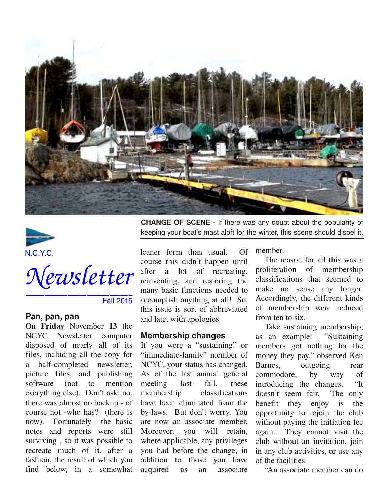





Fall 2015

#### **Pan, pan, pan**

On Friday November 13 the NCYC Newsletter computer disposed of nearly all of its files, including all the copy for a half-completed newsletter, picture files, and publishing software (not to mention everything else). Don't ask; no, there was almost no backup - of course not who has? (there is now). Fortunately the basic notes and reports were still surviving , so it was possible to recreate much of it, after a fashion, the result of which you find below, in a somewhat

**CHANGE OF SCENE** If there was any doubt about the popularity of keeping your boat's mast aloft for the winter, this scene should dispel it.

leaner form than usual. Of course this didn't happen until after a lot of recreating, reinventing, and restoring the many basic functions needed to accomplish anything at all! So, this issue is sort of abbreviated and late, with apologies.

#### **Membership changes**

If you were a "sustaining" or "immediate-family" member of NCYC, your status has changed. As of the last annual general meeting last fall, these membership classifications have been eliminated from the bylaws. But don't worry. You are now an associate member. Moreover, you will retain, where applicable, any privileges you had before the change, in addition to those you have acquired as an associate

member.

The reason for all this was a proliferation of membership classifications that seemed to make no sense any longer. Accordingly, the different kinds of membership were reduced from ten to six.

Take sustaining membership, as an example: "Sustaining members got nothing for the money they pay," observed Ken Barnes, outgoing rear commodore, by way of introducing the changes. "It doesn't seem fair. The only benefit they enjoy is the opportunity to rejoin the club without paying the initiation fee again. They cannot visit the club without an invitation, join in any club activities, or use any of the facilities.

"An associate member can do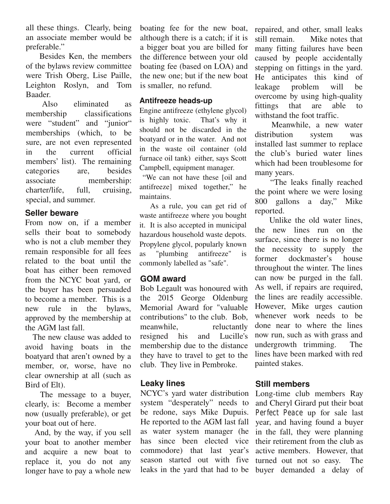all these things. Clearly, being an associate member would be preferable."

Besides Ken, the members of the bylaws review committee were Trish Oberg, Lise Paille, Leighton Roslyn, and Tom Baader.

Also eliminated as membership classifications were "student" and "junior" memberships (which, to be sure, are not even represented in the current official members' list). The remaining categories are, besides associate membership: charter/life, full, cruising, special, and summer.

# **Seller beware**

From now on, if a member sells their boat to somebody who is not a club member they remain responsible for all fees related to the boat until the boat has either been removed from the NCYC boat yard, or the buyer has been persuaded to become a member. This is a new rule in the bylaws, approved by the membership at the AGM last fall.

The new clause was added to avoid having boats in the boatyard that aren't owned by a member, or, worse, have no clear ownership at all (such as Bird of Elt).

The message to a buyer, clearly, is: Become a member now (usually preferable), or get your boat out of here.

And, by the way, if you sell your boat to another member and acquire a new boat to replace it, you do not any longer have to pay a whole new boating fee for the new boat, although there is a catch; if it is a bigger boat you are billed for the difference between your old boating fee (based on LOA) and the new one; but if the new boat is smaller, no refund.

## **Antifreeze heads-up**

Engine antifreeze (ethylene glycol) is highly toxic. That's why it should not be discarded in the boatyard or in the water. And not in the waste oil container (old furnace oil tank) either, says Scott Campbell, equipment manager.

"We can not have these [oil and antifreeze] mixed together," he maintains.

As a rule, you can get rid of waste antifreeze where you bought it. It is also accepted in municipal hazardous household waste depots. Propylene glycol, popularly known as "plumbing antifreeze" is commonly labelled as "safe".

# **GOM award**

Bob Legault was honoured with the 2015 George Oldenburg Memorial Award for "valuable contributions" to the club. Bob, meanwhile, reluctantly resigned his and Lucille's membership due to the distance they have to travel to get to the club. They live in Pembroke.

# **Leaky lines**

NCYC's yard water distribution system "desperately" needs to be redone, says Mike Dupuis. He reported to the AGM last fall as water system manager (he has since been elected vice commodore) that last year's season started out with five leaks in the yard that had to be buyer demanded a delay of

repaired, and other, small leaks still remain. Mike notes that many fitting failures have been caused by people accidentally stepping on fittings in the yard. He anticipates this kind of leakage problem will be overcome by using high-quality<br>fittings that are able to fittings that are able to withstand the foot traffic.

Meanwhile, a new water distribution system was installed last summer to replace the club's buried water lines which had been troublesome for many years.

"The leaks finally reached the point where we were losing 800 gallons a day," Mike reported.

Unlike the old water lines, the new lines run on the surface, since there is no longer the necessity to supply the former dockmaster's house throughout the winter. The lines can now be purged in the fall. As well, if repairs are required, the lines are readily accessible. However, Mike urges caution whenever work needs to be done near to where the lines now run, such as with grass and undergrowth trimming. The lines have been marked with red painted stakes.

# **Still members**

Long-time club members Ray and Cheryl Girard put their boat *Perfect Peace* up for sale last year, and having found a buyer in the fall, they were planning their retirement from the club as active members. However, that turned out not so easy. The